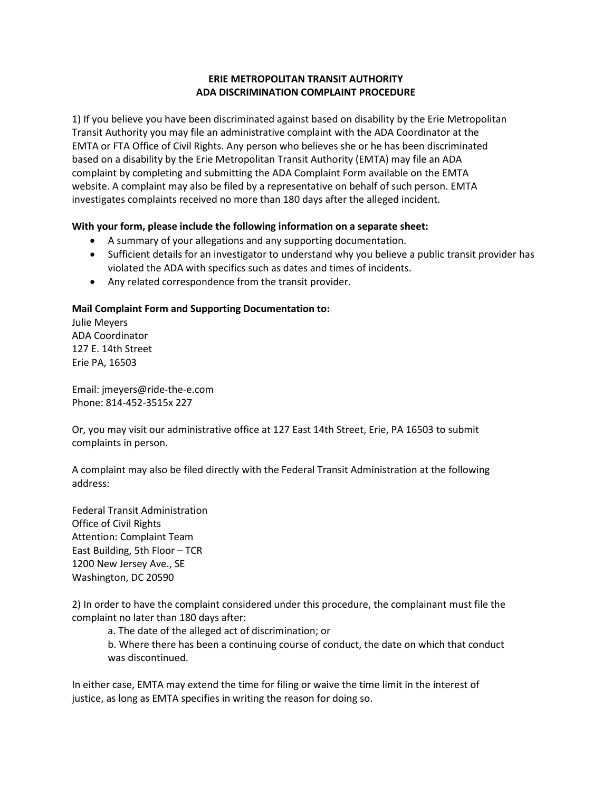## **ERIE METROPOLITAN TRANSIT AUTHORITY ADA DISCRIMINATION COMPLAINT PROCEDURE**

1) If you believe you have been discriminated against based on disability by the Erie Metropolitan Transit Authority you may file an administrative complaint with the ADA Coordinator at the EMTA or FTA Office of Civil Rights. Any person who believes she or he has been discriminated based on a disability by the Erie Metropolitan Transit Authority (EMTA) may file an ADA complaint by completing and submitting the ADA Complaint Form available on the EMTA website. A complaint may also be filed by a representative on behalf of such person. EMTA investigates complaints received no more than 180 days after the alleged incident.

## **With your form, please include the following information on a separate sheet:**

- A summary of your allegations and any supporting documentation.
- Sufficient details for an investigator to understand why you believe a public transit provider has violated the ADA with specifics such as dates and times of incidents.
- Any related correspondence from the transit provider.

## **Mail Complaint Form and Supporting Documentation to:**

Julie Meyers ADA Coordinator 127 E. 14th Street Erie PA, 16503

Email: jmeyers@ride-the-e.com Phone: 814-452-3515x 227

Or, you may visit our administrative office at 127 East 14th Street, Erie, PA 16503 to submit complaints in person.

A complaint may also be filed directly with the Federal Transit Administration at the following address:

Federal Transit Administration Office of Civil Rights Attention: Complaint Team East Building, 5th Floor – TCR 1200 New Jersey Ave., SE Washington, DC 20590

2) In order to have the complaint considered under this procedure, the complainant must file the complaint no later than 180 days after:

a. The date of the alleged act of discrimination; or

b. Where there has been a continuing course of conduct, the date on which that conduct was discontinued.

In either case, EMTA may extend the time for filing or waive the time limit in the interest of justice, as long as EMTA specifies in writing the reason for doing so.